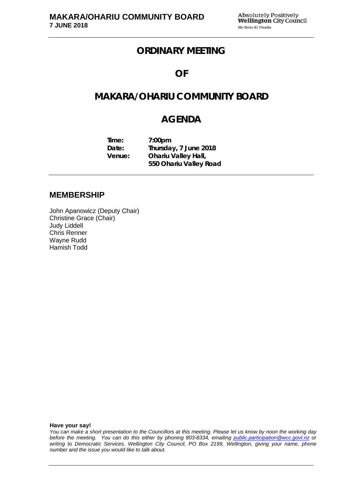## **ORDINARY MEETING**

## **OF**

# **MAKARA/OHARIU COMMUNITY BOARD**

# **AGENDA**

| Time:  | 7:00 <sub>pm</sub>         |
|--------|----------------------------|
| Date:  | Thursday, 7 June 2018      |
| Venue: | <b>Ohariu Valley Hall,</b> |
|        | 550 Ohariu Valley Road     |

### **MEMBERSHIP**

John Apanowicz (Deputy Chair) Christine Grace (Chair) Judy Liddell Chris Renner Wayne Rudd Hamish Todd

**Have your say!**

*You can make a short presentation to the Councillors at this meeting. Please let us know by noon the working day before the meeting. You can do this either by phoning 803-8334, emailing public.participation@wcc.govt.nz or writing to Democratic Services, Wellington City Council, PO Box 2199, Wellington, giving your name, phone number and the issue you would like to talk about.*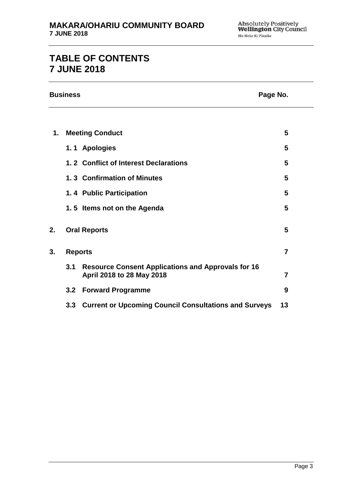# **TABLE OF CONTENTS 7 JUNE 2018**

|    | <b>Business</b> |                                                                                        | Page No.       |
|----|-----------------|----------------------------------------------------------------------------------------|----------------|
|    |                 |                                                                                        |                |
| 1. |                 | <b>Meeting Conduct</b>                                                                 | 5              |
|    |                 | 1.1 Apologies                                                                          | 5              |
|    |                 | 1.2 Conflict of Interest Declarations                                                  | 5              |
|    |                 | 1.3 Confirmation of Minutes                                                            | 5              |
|    |                 | 1.4 Public Participation                                                               | 5              |
|    |                 | 1.5 Items not on the Agenda                                                            | 5              |
| 2. |                 | <b>Oral Reports</b>                                                                    | 5              |
| 3. |                 | <b>Reports</b>                                                                         | $\overline{7}$ |
|    | 3.1             | <b>Resource Consent Applications and Approvals for 16</b><br>April 2018 to 28 May 2018 | 7              |
|    | 3.2             | <b>Forward Programme</b>                                                               | 9              |
|    | 3.3             | <b>Current or Upcoming Council Consultations and Surveys</b>                           | 13             |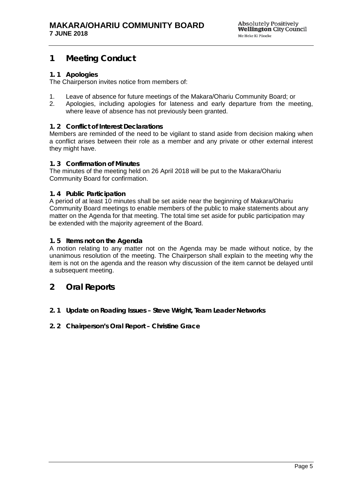## <span id="page-4-0"></span>**1 Meeting Conduct**

### <span id="page-4-1"></span>**1. 1 Apologies**

The Chairperson invites notice from members of:

- 1. Leave of absence for future meetings of the Makara/Ohariu Community Board; or
- 2. Apologies, including apologies for lateness and early departure from the meeting, where leave of absence has not previously been granted.

#### <span id="page-4-2"></span>**1. 2 Conflict of Interest Declarations**

Members are reminded of the need to be vigilant to stand aside from decision making when a conflict arises between their role as a member and any private or other external interest they might have.

#### <span id="page-4-3"></span>**1. 3 Confirmation of Minutes**

The minutes of the meeting held on 26 April 2018 will be put to the Makara/Ohariu Community Board for confirmation.

#### <span id="page-4-4"></span>**1. 4 Public Participation**

A period of at least 10 minutes shall be set aside near the beginning of Makara/Ohariu Community Board meetings to enable members of the public to make statements about any matter on the Agenda for that meeting. The total time set aside for public participation may be extended with the majority agreement of the Board.

#### <span id="page-4-5"></span>**1. 5 Items not on the Agenda**

A motion relating to any matter not on the Agenda may be made without notice, by the unanimous resolution of the meeting. The Chairperson shall explain to the meeting why the item is not on the agenda and the reason why discussion of the item cannot be delayed until a subsequent meeting.

### <span id="page-4-6"></span>**2 Oral Reports**

- **2. 1 Update on Roading Issues Steve Wright, Team Leader Networks**
- **2. 2 Chairperson's Oral Report Christine Grace**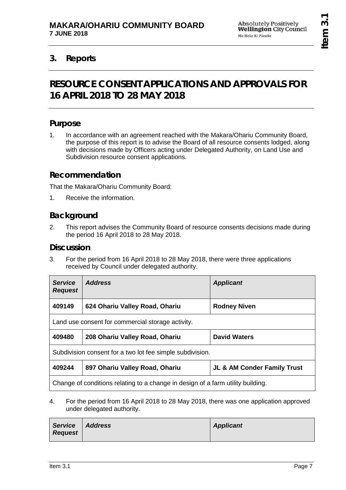## <span id="page-6-1"></span><span id="page-6-0"></span>**3. Reports**

# **RESOURCE CONSENT APPLICATIONS AND APPROVALS FOR 16 APRIL 2018 TO 28 MAY 2018**

## **Purpose**

1. In accordance with an agreement reached with the Makara/Ohariu Community Board, the purpose of this report is to advise the Board of all resource consents lodged, along with decisions made by Officers acting under Delegated Authority, on Land Use and Subdivision resource consent applications.

## **Recommendation**

That the Makara/Ohariu Community Board:

1. Receive the information.

## **Background**

2. This report advises the Community Board of resource consents decisions made during the period 16 April 2018 to 28 May 2018.

### **Discussion**

3. For the period from 16 April 2018 to 28 May 2018, there were three applications received by Council under delegated authority.

| <b>Service</b><br><b>Request</b>                                                | <b>Address</b>                 | <b>Applicant</b>                       |
|---------------------------------------------------------------------------------|--------------------------------|----------------------------------------|
| 409149                                                                          | 624 Ohariu Valley Road, Ohariu | <b>Rodney Niven</b>                    |
| Land use consent for commercial storage activity.                               |                                |                                        |
| 409480                                                                          | 208 Ohariu Valley Road, Ohariu | <b>David Waters</b>                    |
| Subdivision consent for a two lot fee simple subdivision.                       |                                |                                        |
| 409244                                                                          | 897 Ohariu Valley Road, Ohariu | <b>JL &amp; AM Conder Family Trust</b> |
| Change of conditions relating to a change in design of a farm utility building. |                                |                                        |

4. For the period from 16 April 2018 to 28 May 2018, there was one application approved under delegated authority.

| Service Address<br><b>Request</b> | <b>Applicant</b> |
|-----------------------------------|------------------|
|                                   |                  |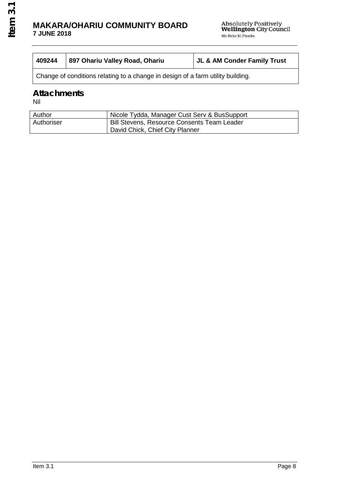### **MAKARA/OHARIU COMMUNITY BOARD 7 JUNE 2018**

| 409244 | 897 Ohariu Valley Road, Ohariu | JL & AM Conder Family Trust |
|--------|--------------------------------|-----------------------------|
|        |                                |                             |

Change of conditions relating to a change in design of a farm utility building.

## **Attachments**

Nil

| Author     | Nicole Tydda, Manager Cust Serv & BusSupport       |
|------------|----------------------------------------------------|
| Authoriser | <b>Bill Stevens, Resource Consents Team Leader</b> |
|            | David Chick, Chief City Planner                    |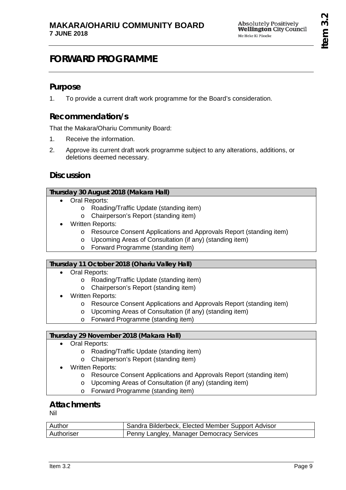# <span id="page-8-0"></span>**FORWARD PROGRAMME**

### **Purpose**

1. To provide a current draft work programme for the Board's consideration.

## **Recommendation/s**

That the Makara/Ohariu Community Board:

- 1. Receive the information.
- 2. Approve its current draft work programme subject to any alterations, additions, or deletions deemed necessary.

### **Discussion**

#### **Thursday 30 August 2018 (Makara Hall)**

- Oral Reports:
	- o Roading/Traffic Update (standing item)
	- o Chairperson's Report (standing item)
- Written Reports:
	- o Resource Consent Applications and Approvals Report (standing item)
	- o Upcoming Areas of Consultation (if any) (standing item)
	- o Forward Programme (standing item)

### **Thursday 11 October 2018 (Ohariu Valley Hall)**

- Oral Reports:
	- o Roading/Traffic Update (standing item)
	- o Chairperson's Report (standing item)
	- Written Reports:
		- o Resource Consent Applications and Approvals Report (standing item)
		- o Upcoming Areas of Consultation (if any) (standing item)
		- o Forward Programme (standing item)

### **Thursday 29 November 2018 (Makara Hall)**

- Oral Reports:
	- o Roading/Traffic Update (standing item)
	- o Chairperson's Report (standing item)
- Written Reports:
	- o Resource Consent Applications and Approvals Report (standing item)
	- o Upcoming Areas of Consultation (if any) (standing item)
	- o Forward Programme (standing item)

## **Attachments**

Nil

| Author            | Sandra Bilderbeck, Elected Member Support Advisor |
|-------------------|---------------------------------------------------|
| <b>Authoriser</b> | Penny Langley, Manager Democracy Services         |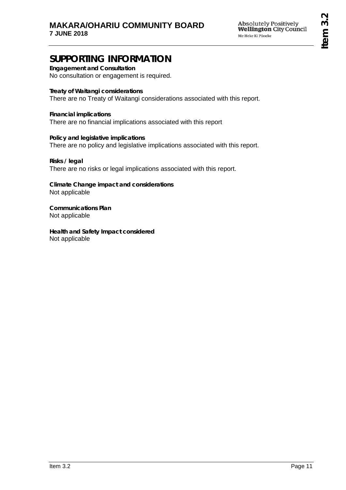# **SUPPORTING INFORMATION**

**Engagement and Consultation** No consultation or engagement is required.

**Treaty of Waitangi considerations** There are no Treaty of Waitangi considerations associated with this report.

**Financial implications** There are no financial implications associated with this report

**Policy and legislative implications** There are no policy and legislative implications associated with this report.

**Risks / legal**  There are no risks or legal implications associated with this report.

**Climate Change impact and considerations** Not applicable

**Communications Plan** Not applicable

**Health and Safety Impact considered** Not applicable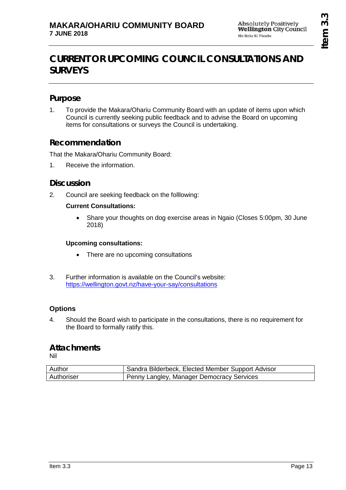# <span id="page-12-0"></span>**CURRENT OR UPCOMING COUNCIL CONSULTATIONS AND SURVEYS**

## **Purpose**

1. To provide the Makara/Ohariu Community Board with an update of items upon which Council is currently seeking public feedback and to advise the Board on upcoming items for consultations or surveys the Council is undertaking.

## **Recommendation**

That the Makara/Ohariu Community Board:

1. Receive the information.

### **Discussion**

2. Council are seeking feedback on the folllowing:

### **Current Consultations:**

• Share your thoughts on dog exercise areas in Ngaio (Closes 5:00pm, 30 June 2018)

### **Upcoming consultations:**

- There are no upcoming consultations
- 3. Further information is available on the Council's website: <https://wellington.govt.nz/have-your-say/consultations>

### **Options**

4. Should the Board wish to participate in the consultations, there is no requirement for the Board to formally ratify this.

### **Attachments**

Nil

| Author     | Sandra Bilderbeck, Elected Member Support Advisor |
|------------|---------------------------------------------------|
| Authoriser | Penny Langley, Manager Democracy Services         |